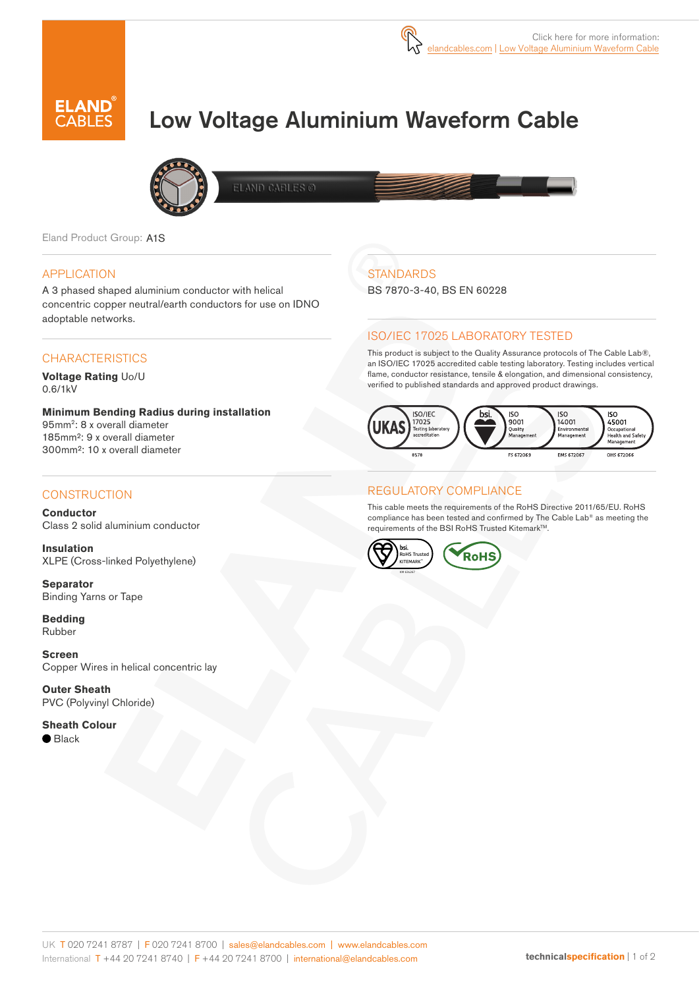

# Low Voltage Aluminium Waveform Cable



**ELAND CABLES @** 

Eland Product Group: A1S

#### APPLICATION

A 3 phased shaped aluminium conductor with helical concentric copper neutral/earth conductors for use on IDNO adoptable networks.

#### **CHARACTERISTICS**

**Voltage Rating** Uo/U 0.6/1kV

#### **Minimum Bending Radius during installation**  95mm2: 8 x overall diameter 185mm²: 9 x overall diameter 300mm²: 10 x overall diameter

#### CONSTRUCTION

**Conductor** Class 2 solid aluminium conductor

**Insulation** XLPE (Cross-linked Polyethylene)

**Separator** Binding Yarns or Tape

**Bedding** Rubber

**Screen** Copper Wires in helical concentric lay

**Outer Sheath** PVC (Polyvinyl Chloride)

**Sheath Colour**  $\bullet$  Black

## **STANDARDS**

BS 7870-3-40, BS EN 60228

### ISO/IEC 17025 LABORATORY TESTED

This product is subject to the Quality Assurance protocols of The Cable Lab®, an ISO/IEC 17025 accredited cable testing laboratory. Testing includes vertical flame, conductor resistance, tensile & elongation, and dimensional consistency, verified to published standards and approved product drawings.



#### REGULATORY COMPLIANCE

This cable meets the requirements of the RoHS Directive 2011/65/EU. RoHS compliance has been tested and confirmed by The Cable Lab® as meeting the requirements of the BSI RoHS Trusted Kitemark™.